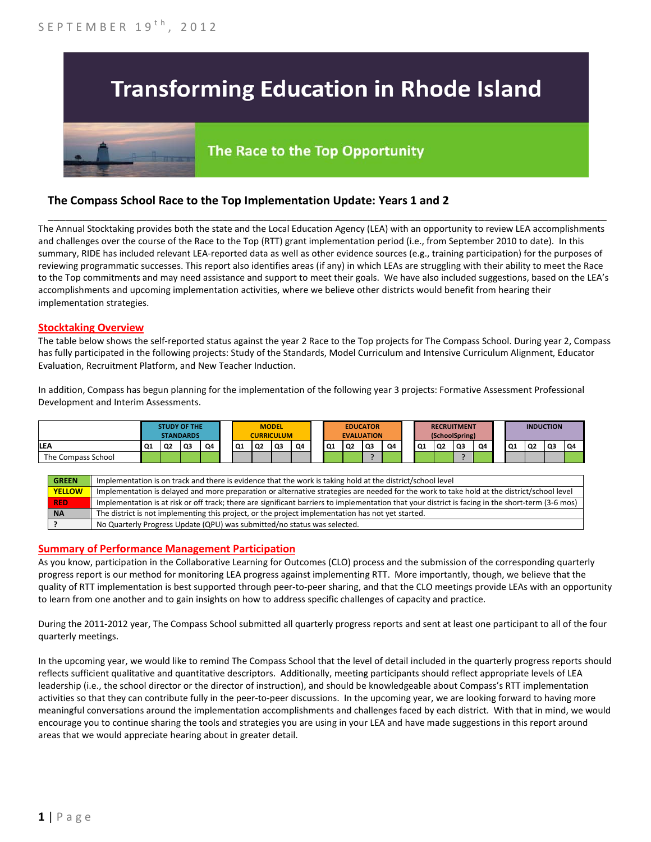# **Transforming Education in Rhode Island**

# The Race to the Top Opportunity

## **The Compass School Race to the Top Implementation Update: Years 1 and 2**

The Annual Stocktaking provides both the state and the Local Education Agency (LEA) with an opportunity to review LEA accomplishments and challenges over the course of the Race to the Top (RTT) grant implementation period (i.e., from September 2010 to date). In this summary, RIDE has included relevant LEA-reported data as well as other evidence sources (e.g., training participation) for the purposes of reviewing programmatic successes. This report also identifies areas (if any) in which LEAs are struggling with their ability to meet the Race to the Top commitments and may need assistance and support to meet their goals. We have also included suggestions, based on the LEA's accomplishments and upcoming implementation activities, where we believe other districts would benefit from hearing their implementation strategies.

\_\_\_\_\_\_\_\_\_\_\_\_\_\_\_\_\_\_\_\_\_\_\_\_\_\_\_\_\_\_\_\_\_\_\_\_\_\_\_\_\_\_\_\_\_\_\_\_\_\_\_\_\_\_\_\_\_\_\_\_\_\_\_\_\_\_\_\_\_\_\_\_\_\_\_\_\_\_\_\_\_\_\_\_\_\_\_\_\_\_\_\_\_\_\_\_

#### **Stocktaking Overview**

The table below shows the self-reported status against the year 2 Race to the Top projects for The Compass School. During year 2, Compass has fully participated in the following projects: Study of the Standards, Model Curriculum and Intensive Curriculum Alignment, Educator Evaluation, Recruitment Platform, and New Teacher Induction.

In addition, Compass has begun planning for the implementation of the following year 3 projects: Formative Assessment Professional Development and Interim Assessments.

|                    | <b>STUDY OF THE</b><br><b>STANDARDS</b> |    |    | <b>MODEL</b><br><b>CURRICULUM</b> |    |                | <b>EDUCATOR</b><br><b>EVALUATION</b> |    |    | <b>RECRUITMENT</b><br>(SchoolSpring) |    |    | <b>INDUCTION</b> |    |    |    |           |                |    |                |
|--------------------|-----------------------------------------|----|----|-----------------------------------|----|----------------|--------------------------------------|----|----|--------------------------------------|----|----|------------------|----|----|----|-----------|----------------|----|----------------|
| LEA                | Q1                                      | Q2 | Q3 | Q4                                | Q1 | Q <sub>2</sub> | Q <sub>3</sub>                       | Q4 | Q1 | Q2                                   | Q3 | Q4 | Q1               | Q2 | Q3 | Q4 | <b>Q1</b> | Q <sub>2</sub> | Q3 | Q <sub>4</sub> |
| The Compass School |                                         |    |    |                                   |    |                |                                      |    |    |                                      |    |    |                  |    |    |    |           |                |    |                |
|                    |                                         |    |    |                                   |    |                |                                      |    |    |                                      |    |    |                  |    |    |    |           |                |    |                |

| <b>GREEN</b>  | Implementation is on track and there is evidence that the work is taking hold at the district/school level                                        |
|---------------|---------------------------------------------------------------------------------------------------------------------------------------------------|
| <b>YELLOW</b> | Implementation is delayed and more preparation or alternative strategies are needed for the work to take hold at the district/school level        |
| <b>RED</b>    | Implementation is at risk or off track; there are significant barriers to implementation that your district is facing in the short-term (3-6 mos) |
| <b>NA</b>     | The district is not implementing this project, or the project implementation has not yet started.                                                 |
|               | No Quarterly Progress Update (QPU) was submitted/no status was selected.                                                                          |

#### **Summary of Performance Management Participation**

As you know, participation in the Collaborative Learning for Outcomes (CLO) process and the submission of the corresponding quarterly progress report is our method for monitoring LEA progress against implementing RTT. More importantly, though, we believe that the quality of RTT implementation is best supported through peer-to-peer sharing, and that the CLO meetings provide LEAs with an opportunity to learn from one another and to gain insights on how to address specific challenges of capacity and practice.

During the 2011-2012 year, The Compass School submitted all quarterly progress reports and sent at least one participant to all of the four quarterly meetings.

In the upcoming year, we would like to remind The Compass School that the level of detail included in the quarterly progress reports should reflects sufficient qualitative and quantitative descriptors. Additionally, meeting participants should reflect appropriate levels of LEA leadership (i.e., the school director or the director of instruction), and should be knowledgeable about Compass's RTT implementation activities so that they can contribute fully in the peer-to-peer discussions. In the upcoming year, we are looking forward to having more meaningful conversations around the implementation accomplishments and challenges faced by each district. With that in mind, we would encourage you to continue sharing the tools and strategies you are using in your LEA and have made suggestions in this report around areas that we would appreciate hearing about in greater detail.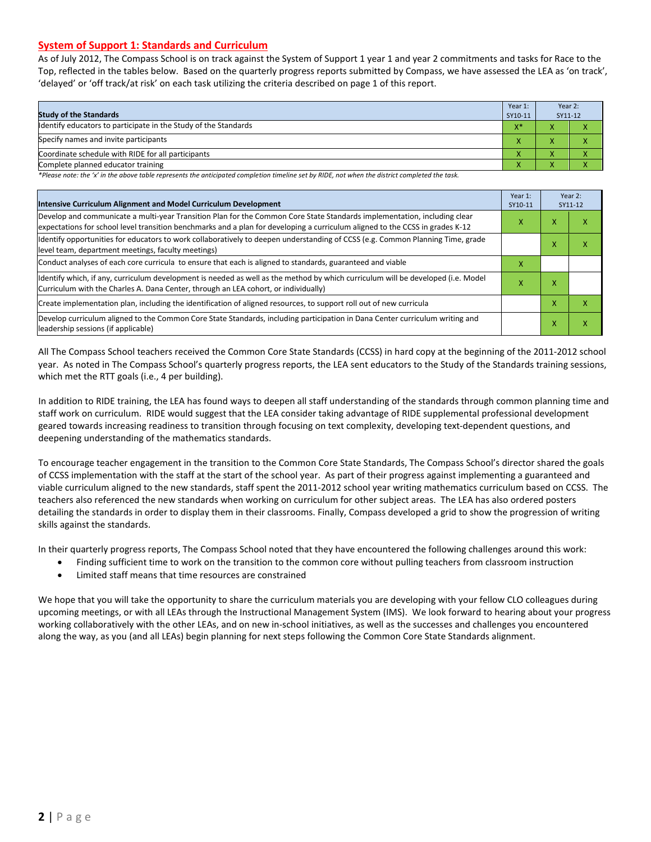#### **System of Support 1: Standards and Curriculum**

As of July 2012, The Compass School is on track against the System of Support 1 year 1 and year 2 commitments and tasks for Race to the Top, reflected in the tables below. Based on the quarterly progress reports submitted by Compass, we have assessed the LEA as 'on track', 'delayed' or 'off track/at risk' on each task utilizing the criteria described on page 1 of this report.

| Year 1:<br><b>Study of the Standards</b><br>SY10-11             |                    |   | Year 2:<br>SY11-12 |
|-----------------------------------------------------------------|--------------------|---|--------------------|
| Identify educators to participate in the Study of the Standards | $X^*$              |   |                    |
| Specify names and invite participants                           | $\mathbf{v}$       |   |                    |
| Coordinate schedule with RIDE for all participants              | $\mathbf{\Lambda}$ | ∧ |                    |
| Complete planned educator training                              | $\mathbf{\Lambda}$ | ∧ |                    |

*\*Please note: the 'x' in the above table represents the anticipated completion timeline set by RIDE, not when the district completed the task.*

| Intensive Curriculum Alignment and Model Curriculum Development                                                                                                                                                                                           | Year 1:<br>SY10-11 |   | Year 2:<br>SY11-12 |
|-----------------------------------------------------------------------------------------------------------------------------------------------------------------------------------------------------------------------------------------------------------|--------------------|---|--------------------|
| Develop and communicate a multi-year Transition Plan for the Common Core State Standards implementation, including clear<br>expectations for school level transition benchmarks and a plan for developing a curriculum aligned to the CCSS in grades K-12 | x                  | x | ⋏                  |
| Identify opportunities for educators to work collaboratively to deepen understanding of CCSS (e.g. Common Planning Time, grade<br>level team, department meetings, faculty meetings)                                                                      |                    | ⋏ | χ                  |
| Conduct analyses of each core curricula to ensure that each is aligned to standards, guaranteed and viable                                                                                                                                                | X                  |   |                    |
| ldentify which, if any, curriculum development is needed as well as the method by which curriculum will be developed (i.e. Model<br>Curriculum with the Charles A. Dana Center, through an LEA cohort, or individually)                                   | x                  | x |                    |
| Create implementation plan, including the identification of aligned resources, to support roll out of new curricula                                                                                                                                       |                    | x | χ                  |
| Develop curriculum aligned to the Common Core State Standards, including participation in Dana Center curriculum writing and<br>leadership sessions (if applicable)                                                                                       |                    | x | χ                  |

All The Compass School teachers received the Common Core State Standards (CCSS) in hard copy at the beginning of the 2011-2012 school year. As noted in The Compass School's quarterly progress reports, the LEA sent educators to the Study of the Standards training sessions, which met the RTT goals (i.e., 4 per building).

In addition to RIDE training, the LEA has found ways to deepen all staff understanding of the standards through common planning time and staff work on curriculum. RIDE would suggest that the LEA consider taking advantage of RIDE supplemental professional development geared towards increasing readiness to transition through focusing on text complexity, developing text-dependent questions, and deepening understanding of the mathematics standards.

To encourage teacher engagement in the transition to the Common Core State Standards, The Compass School's director shared the goals of CCSS implementation with the staff at the start of the school year. As part of their progress against implementing a guaranteed and viable curriculum aligned to the new standards, staff spent the 2011-2012 school year writing mathematics curriculum based on CCSS. The teachers also referenced the new standards when working on curriculum for other subject areas. The LEA has also ordered posters detailing the standards in order to display them in their classrooms. Finally, Compass developed a grid to show the progression of writing skills against the standards.

In their quarterly progress reports, The Compass School noted that they have encountered the following challenges around this work:

- Finding sufficient time to work on the transition to the common core without pulling teachers from classroom instruction
- Limited staff means that time resources are constrained

We hope that you will take the opportunity to share the curriculum materials you are developing with your fellow CLO colleagues during upcoming meetings, or with all LEAs through the Instructional Management System (IMS). We look forward to hearing about your progress working collaboratively with the other LEAs, and on new in-school initiatives, as well as the successes and challenges you encountered along the way, as you (and all LEAs) begin planning for next steps following the Common Core State Standards alignment.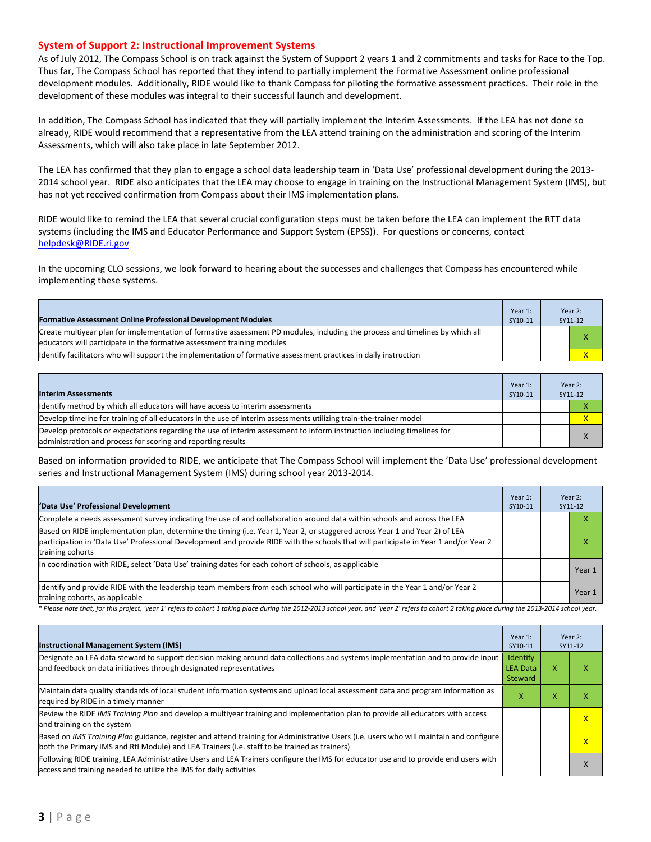#### **System of Support 2: Instructional Improvement Systems**

As of July 2012, The Compass School is on track against the System of Support 2 years 1 and 2 commitments and tasks for Race to the Top. Thus far, The Compass School has reported that they intend to partially implement the Formative Assessment online professional development modules. Additionally, RIDE would like to thank Compass for piloting the formative assessment practices. Their role in the development of these modules was integral to their successful launch and development.

In addition, The Compass School has indicated that they will partially implement the Interim Assessments. If the LEA has not done so already, RIDE would recommend that a representative from the LEA attend training on the administration and scoring of the Interim Assessments, which will also take place in late September 2012.

The LEA has confirmed that they plan to engage a school data leadership team in 'Data Use' professional development during the 2013- 2014 school year. RIDE also anticipates that the LEA may choose to engage in training on the Instructional Management System (IMS), but has not yet received confirmation from Compass about their IMS implementation plans.

RIDE would like to remind the LEA that several crucial configuration steps must be taken before the LEA can implement the RTT data systems (including the IMS and Educator Performance and Support System (EPSS)). For questions or concerns, contact [helpdesk@RIDE.ri.gov](mailto:helpdesk@RIDE.ri.gov)

In the upcoming CLO sessions, we look forward to hearing about the successes and challenges that Compass has encountered while implementing these systems.

| <b>Formative Assessment Online Professional Development Modules</b>                                                                                                                                      | Year 1:<br>SY10-11 | Year 2:<br>SY11-12 |
|----------------------------------------------------------------------------------------------------------------------------------------------------------------------------------------------------------|--------------------|--------------------|
| Create multivear plan for implementation of formative assessment PD modules, including the process and timelines by which all<br>educators will participate in the formative assessment training modules |                    |                    |
| Identify facilitators who will support the implementation of formative assessment practices in daily instruction                                                                                         |                    |                    |

| <b>Interim Assessments</b>                                                                                                                                                              | Year 1:<br>SY10-11 |  | Year 2:<br>SY11-12 |
|-----------------------------------------------------------------------------------------------------------------------------------------------------------------------------------------|--------------------|--|--------------------|
| Identify method by which all educators will have access to interim assessments                                                                                                          |                    |  |                    |
| Develop timeline for training of all educators in the use of interim assessments utilizing train-the-trainer model                                                                      |                    |  |                    |
| Develop protocols or expectations regarding the use of interim assessment to inform instruction including timelines for<br>administration and process for scoring and reporting results |                    |  |                    |

Based on information provided to RIDE, we anticipate that The Compass School will implement the 'Data Use' professional development series and Instructional Management System (IMS) during school year 2013-2014.

| 'Data Use' Professional Development                                                                                                                                                                                                                                                     | Year 1:<br>SY10-11 | Year 2: | SY11-12 |
|-----------------------------------------------------------------------------------------------------------------------------------------------------------------------------------------------------------------------------------------------------------------------------------------|--------------------|---------|---------|
| Complete a needs assessment survey indicating the use of and collaboration around data within schools and across the LEA                                                                                                                                                                |                    |         |         |
| Based on RIDE implementation plan, determine the timing (i.e. Year 1, Year 2, or staggered across Year 1 and Year 2) of LEA<br>participation in 'Data Use' Professional Development and provide RIDE with the schools that will participate in Year 1 and/or Year 2<br>training cohorts |                    |         | ⋏       |
| In coordination with RIDE, select 'Data Use' training dates for each cohort of schools, as applicable                                                                                                                                                                                   |                    |         | Year 1  |
| Identify and provide RIDE with the leadership team members from each school who will participate in the Year 1 and/or Year 2<br>training cohorts, as applicable                                                                                                                         |                    |         | Year 1  |

*\* Please note that, for this project, 'year 1' refers to cohort 1 taking place during the 2012-2013 school year, and 'year 2' refers to cohort 2 taking place during the 2013-2014 school year.*

| <b>Instructional Management System (IMS)</b>                                                                                                                                                                                           | Year 1:<br>SY10-11                     |   | Year 2:<br>SY11-12      |
|----------------------------------------------------------------------------------------------------------------------------------------------------------------------------------------------------------------------------------------|----------------------------------------|---|-------------------------|
| Designate an LEA data steward to support decision making around data collections and systems implementation and to provide input<br>and feedback on data initiatives through designated representatives                                | Identify<br><b>LEA Data</b><br>Steward | X |                         |
| Maintain data quality standards of local student information systems and upload local assessment data and program information as<br>required by RIDE in a timely manner                                                                | x                                      | x | ⋏                       |
| Review the RIDE IMS Training Plan and develop a multivear training and implementation plan to provide all educators with access<br>and training on the system                                                                          |                                        |   | $\overline{\mathsf{x}}$ |
| Based on IMS Training Plan guidance, register and attend training for Administrative Users (i.e. users who will maintain and configure<br>both the Primary IMS and RtI Module) and LEA Trainers (i.e. staff to be trained as trainers) |                                        |   | X                       |
| Following RIDE training, LEA Administrative Users and LEA Trainers configure the IMS for educator use and to provide end users with<br>access and training needed to utilize the IMS for daily activities                              |                                        |   |                         |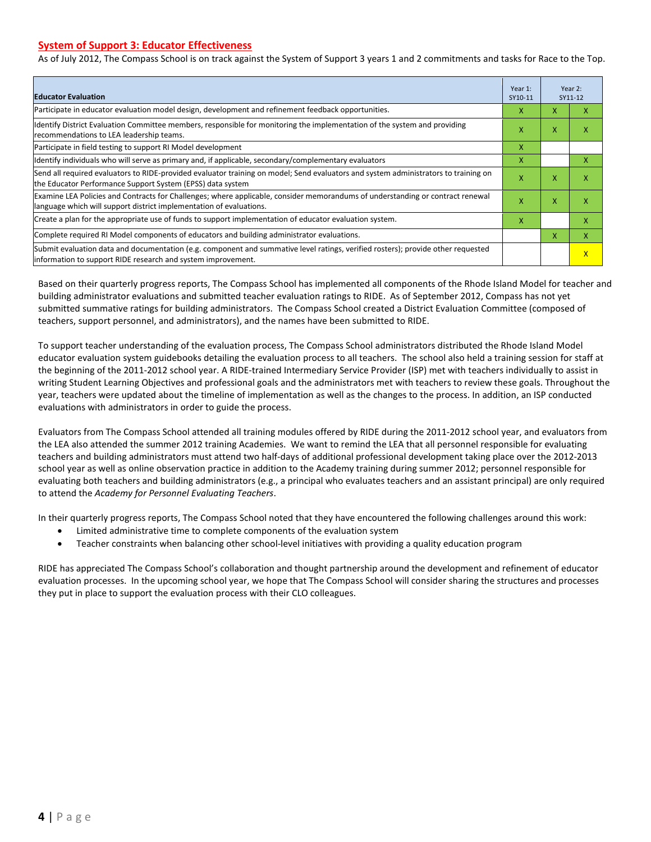#### **System of Support 3: Educator Effectiveness**

As of July 2012, The Compass School is on track against the System of Support 3 years 1 and 2 commitments and tasks for Race to the Top.

| <b>Educator Evaluation</b>                                                                                                                                                                            | Year 1:<br>SY10-11 |   | Year 2:<br>SY11-12      |
|-------------------------------------------------------------------------------------------------------------------------------------------------------------------------------------------------------|--------------------|---|-------------------------|
| Participate in educator evaluation model design, development and refinement feedback opportunities.                                                                                                   | х                  | X | x                       |
| Identify District Evaluation Committee members, responsible for monitoring the implementation of the system and providing<br>recommendations to LEA leadership teams.                                 | X                  | X | x                       |
| Participate in field testing to support RI Model development                                                                                                                                          | x                  |   |                         |
| Identify individuals who will serve as primary and, if applicable, secondary/complementary evaluators                                                                                                 | x                  |   | X                       |
| Send all required evaluators to RIDE-provided evaluator training on model; Send evaluators and system administrators to training on<br>the Educator Performance Support System (EPSS) data system     | X                  | X | X                       |
| Examine LEA Policies and Contracts for Challenges; where applicable, consider memorandums of understanding or contract renewal<br>language which will support district implementation of evaluations. | X                  | X | x                       |
| Create a plan for the appropriate use of funds to support implementation of educator evaluation system.                                                                                               | x                  |   | x                       |
| Complete required RI Model components of educators and building administrator evaluations.                                                                                                            |                    | X | X                       |
| Submit evaluation data and documentation (e.g. component and summative level ratings, verified rosters); provide other requested<br>linformation to support RIDE research and system improvement.     |                    |   | $\overline{\mathsf{x}}$ |

Based on their quarterly progress reports, The Compass School has implemented all components of the Rhode Island Model for teacher and building administrator evaluations and submitted teacher evaluation ratings to RIDE. As of September 2012, Compass has not yet submitted summative ratings for building administrators. The Compass School created a District Evaluation Committee (composed of teachers, support personnel, and administrators), and the names have been submitted to RIDE.

To support teacher understanding of the evaluation process, The Compass School administrators distributed the Rhode Island Model educator evaluation system guidebooks detailing the evaluation process to all teachers. The school also held a training session for staff at the beginning of the 2011-2012 school year. A RIDE-trained Intermediary Service Provider (ISP) met with teachers individually to assist in writing Student Learning Objectives and professional goals and the administrators met with teachers to review these goals. Throughout the year, teachers were updated about the timeline of implementation as well as the changes to the process. In addition, an ISP conducted evaluations with administrators in order to guide the process.

Evaluators from The Compass School attended all training modules offered by RIDE during the 2011-2012 school year, and evaluators from the LEA also attended the summer 2012 training Academies. We want to remind the LEA that all personnel responsible for evaluating teachers and building administrators must attend two half-days of additional professional development taking place over the 2012-2013 school year as well as online observation practice in addition to the Academy training during summer 2012; personnel responsible for evaluating both teachers and building administrators (e.g., a principal who evaluates teachers and an assistant principal) are only required to attend the *Academy for Personnel Evaluating Teachers*.

In their quarterly progress reports, The Compass School noted that they have encountered the following challenges around this work:

- Limited administrative time to complete components of the evaluation system
- Teacher constraints when balancing other school-level initiatives with providing a quality education program

RIDE has appreciated The Compass School's collaboration and thought partnership around the development and refinement of educator evaluation processes. In the upcoming school year, we hope that The Compass School will consider sharing the structures and processes they put in place to support the evaluation process with their CLO colleagues.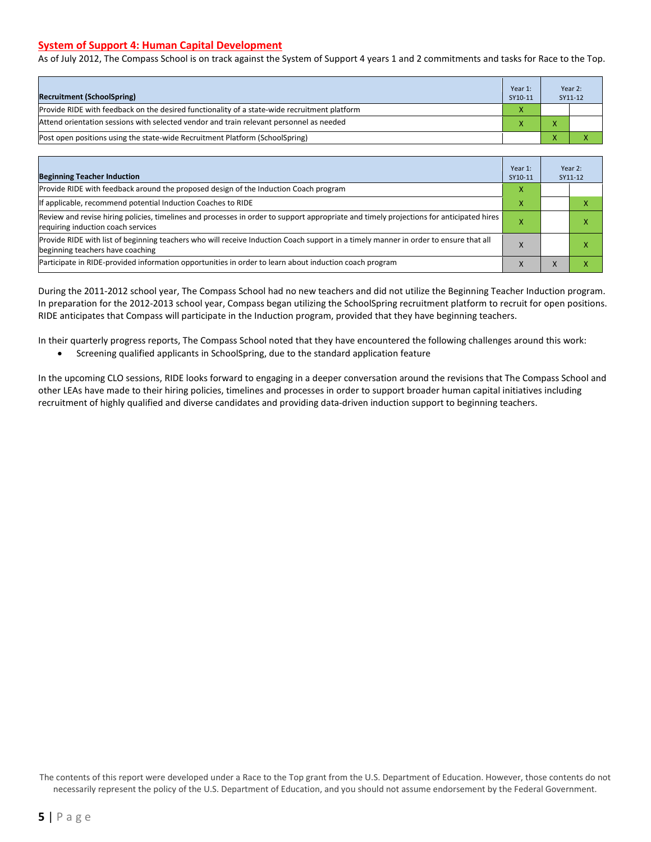#### **System of Support 4: Human Capital Development**

As of July 2012, The Compass School is on track against the System of Support 4 years 1 and 2 commitments and tasks for Race to the Top.

| <b>Recruitment (SchoolSpring)</b>                                                            | Year 1:<br>SY10-11 | Year 2:<br>SY11-12 |
|----------------------------------------------------------------------------------------------|--------------------|--------------------|
| Provide RIDE with feedback on the desired functionality of a state-wide recruitment platform |                    |                    |
| Attend orientation sessions with selected vendor and train relevant personnel as needed      |                    |                    |
| Post open positions using the state-wide Recruitment Platform (SchoolSpring)                 |                    |                    |

| <b>Beginning Teacher Induction</b>                                                                                                                                            | Year 1:<br>SY10-11 |           | Year 2:<br>SY11-12 |
|-------------------------------------------------------------------------------------------------------------------------------------------------------------------------------|--------------------|-----------|--------------------|
| Provide RIDE with feedback around the proposed design of the Induction Coach program                                                                                          | X                  |           |                    |
| If applicable, recommend potential Induction Coaches to RIDE                                                                                                                  | x                  |           |                    |
| Review and revise hiring policies, timelines and processes in order to support appropriate and timely projections for anticipated hires<br>requiring induction coach services | х                  |           |                    |
| Provide RIDE with list of beginning teachers who will receive Induction Coach support in a timely manner in order to ensure that all<br>beginning teachers have coaching      |                    |           |                    |
| Participate in RIDE-provided information opportunities in order to learn about induction coach program                                                                        | ⋏                  | $\lambda$ |                    |

During the 2011-2012 school year, The Compass School had no new teachers and did not utilize the Beginning Teacher Induction program. In preparation for the 2012-2013 school year, Compass began utilizing the SchoolSpring recruitment platform to recruit for open positions. RIDE anticipates that Compass will participate in the Induction program, provided that they have beginning teachers.

In their quarterly progress reports, The Compass School noted that they have encountered the following challenges around this work:

• Screening qualified applicants in SchoolSpring, due to the standard application feature

In the upcoming CLO sessions, RIDE looks forward to engaging in a deeper conversation around the revisions that The Compass School and other LEAs have made to their hiring policies, timelines and processes in order to support broader human capital initiatives including recruitment of highly qualified and diverse candidates and providing data-driven induction support to beginning teachers.

The contents of this report were developed under a Race to the Top grant from the U.S. Department of Education. However, those contents do not necessarily represent the policy of the U.S. Department of Education, and you should not assume endorsement by the Federal Government.